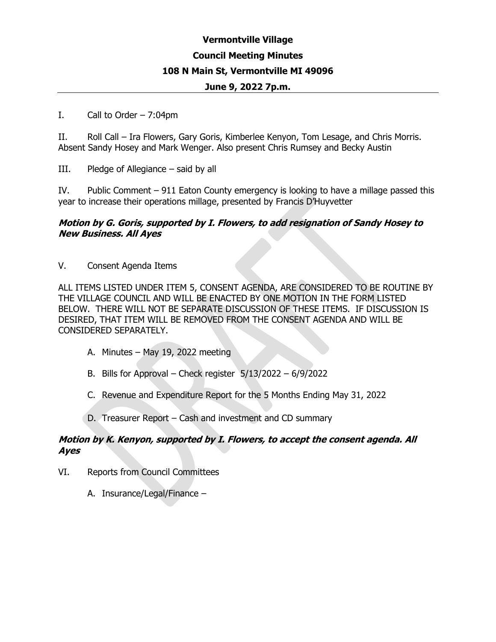## **Vermontville Village Council Meeting Minutes 108 N Main St, Vermontville MI 49096 June 9, 2022 7p.m.**

#### I. Call to Order  $-7:04$ pm

II. Roll Call – Ira Flowers, Gary Goris, Kimberlee Kenyon, Tom Lesage, and Chris Morris. Absent Sandy Hosey and Mark Wenger. Also present Chris Rumsey and Becky Austin

III. Pledge of Allegiance – said by all

IV. Public Comment – 911 Eaton County emergency is looking to have a millage passed this year to increase their operations millage, presented by Francis D'Huyvetter

### **Motion by G. Goris, supported by I. Flowers, to add resignation of Sandy Hosey to New Business. All Ayes**

V. Consent Agenda Items

ALL ITEMS LISTED UNDER ITEM 5, CONSENT AGENDA, ARE CONSIDERED TO BE ROUTINE BY THE VILLAGE COUNCIL AND WILL BE ENACTED BY ONE MOTION IN THE FORM LISTED BELOW. THERE WILL NOT BE SEPARATE DISCUSSION OF THESE ITEMS. IF DISCUSSION IS DESIRED, THAT ITEM WILL BE REMOVED FROM THE CONSENT AGENDA AND WILL BE CONSIDERED SEPARATELY.

- A. Minutes May 19, 2022 meeting
- B. Bills for Approval Check register 5/13/2022 6/9/2022
- C. Revenue and Expenditure Report for the 5 Months Ending May 31, 2022
- D. Treasurer Report Cash and investment and CD summary

### **Motion by K. Kenyon, supported by I. Flowers, to accept the consent agenda. All Ayes**

- VI. Reports from Council Committees
	- A. Insurance/Legal/Finance –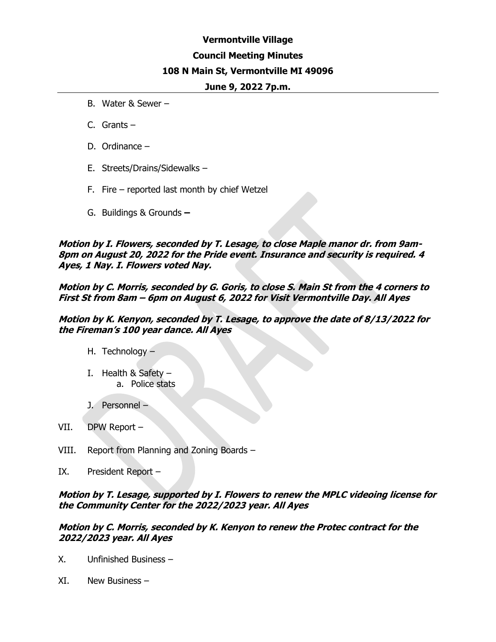# **Vermontville Village Council Meeting Minutes 108 N Main St, Vermontville MI 49096**

#### **June 9, 2022 7p.m.**

- B. Water & Sewer –
- C. Grants –
- D. Ordinance –
- E. Streets/Drains/Sidewalks –
- F. Fire reported last month by chief Wetzel
- G. Buildings & Grounds **–**

**Motion by I. Flowers, seconded by T. Lesage, to close Maple manor dr. from 9am-8pm on August 20, 2022 for the Pride event. Insurance and security is required. 4 Ayes, 1 Nay. I. Flowers voted Nay.** 

**Motion by C. Morris, seconded by G. Goris, to close S. Main St from the 4 corners to First St from 8am – 6pm on August 6, 2022 for Visit Vermontville Day. All Ayes**

**Motion by K. Kenyon, seconded by T. Lesage, to approve the date of 8/13/2022 for the Fireman's 100 year dance. All Ayes**

- H. Technology –
- I. Health  $&$  Safety a. Police stats
- J. Personnel –
- VII. DPW Report –
- VIII. Report from Planning and Zoning Boards –
- IX. President Report –

**Motion by T. Lesage, supported by I. Flowers to renew the MPLC videoing license for the Community Center for the 2022/2023 year. All Ayes**

**Motion by C. Morris, seconded by K. Kenyon to renew the Protec contract for the 2022/2023 year. All Ayes**

- X. Unfinished Business –
- XI. New Business –